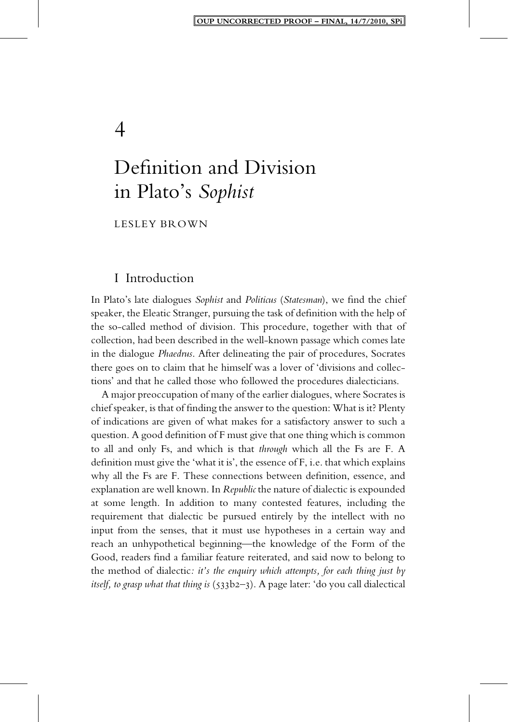## 4

# Definition and Division in Plato's Sophist

LESLEY BROWN

### I Introduction

In Plato's late dialogues Sophist and Politicus (Statesman), we find the chief speaker, the Eleatic Stranger, pursuing the task of definition with the help of the so-called method of division. This procedure, together with that of collection, had been described in the well-known passage which comes late in the dialogue Phaedrus. After delineating the pair of procedures, Socrates there goes on to claim that he himself was a lover of 'divisions and collections' and that he called those who followed the procedures dialecticians.

A major preoccupation of many of the earlier dialogues, where Socrates is chief speaker, is that of finding the answer to the question: What is it? Plenty of indications are given of what makes for a satisfactory answer to such a question. A good definition of F must give that one thing which is common to all and only Fs, and which is that through which all the Fs are F. A definition must give the 'what it is', the essence of F, i.e. that which explains why all the Fs are F. These connections between definition, essence, and explanation are well known. In Republic the nature of dialectic is expounded at some length. In addition to many contested features, including the requirement that dialectic be pursued entirely by the intellect with no input from the senses, that it must use hypotheses in a certain way and reach an unhypothetical beginning—the knowledge of the Form of the Good, readers find a familiar feature reiterated, and said now to belong to the method of dialectic: it's the enquiry which attempts, for each thing just by itself, to grasp what that thing is  $(533b2-3)$ . A page later: 'do you call dialectical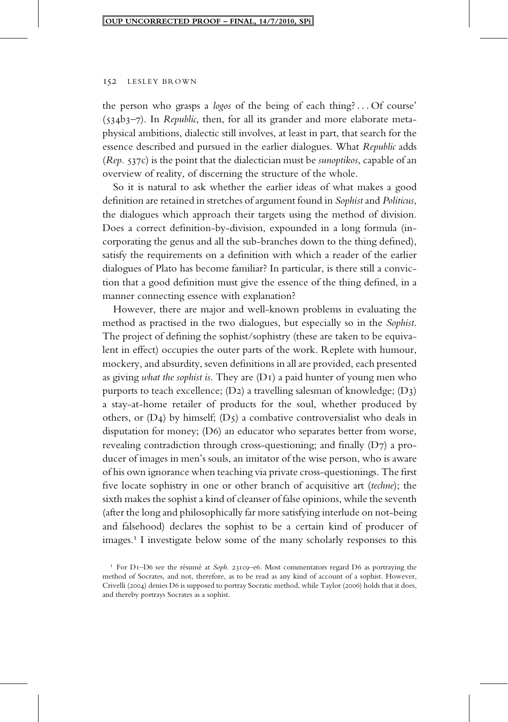the person who grasps a logos of the being of each thing?... Of course'  $(534b3-7)$ . In Republic, then, for all its grander and more elaborate metaphysical ambitions, dialectic still involves, at least in part, that search for the essence described and pursued in the earlier dialogues. What Republic adds (Rep. 537c) is the point that the dialectician must be *sunoptikos*, capable of an overview of reality, of discerning the structure of the whole.

So it is natural to ask whether the earlier ideas of what makes a good definition are retained in stretches of argument found in Sophist and Politicus, the dialogues which approach their targets using the method of division. Does a correct definition-by-division, expounded in a long formula (incorporating the genus and all the sub-branches down to the thing defined), satisfy the requirements on a definition with which a reader of the earlier dialogues of Plato has become familiar? In particular, is there still a conviction that a good definition must give the essence of the thing defined, in a manner connecting essence with explanation?

However, there are major and well-known problems in evaluating the method as practised in the two dialogues, but especially so in the Sophist. The project of defining the sophist/sophistry (these are taken to be equivalent in effect) occupies the outer parts of the work. Replete with humour, mockery, and absurdity, seven definitions in all are provided, each presented as giving what the sophist is. They are  $(DI)$  a paid hunter of young men who purports to teach excellence;  $(D_2)$  a travelling salesman of knowledge;  $(D_3)$ a stay-at-home retailer of products for the soul, whether produced by others, or  $(D_4)$  by himself;  $(D_5)$  a combative controversialist who deals in disputation for money; (D6) an educator who separates better from worse, revealing contradiction through cross-questioning; and finally (D7) a producer of images in men's souls, an imitator of the wise person, who is aware of his own ignorance when teaching via private cross-questionings. The first five locate sophistry in one or other branch of acquisitive art (techne); the sixth makes the sophist a kind of cleanser of false opinions, while the seventh (after the long and philosophically far more satisfying interlude on not-being and falsehood) declares the sophist to be a certain kind of producer of images.1 I investigate below some of the many scholarly responses to this

<sup>&</sup>lt;sup>1</sup> For D1–D6 see the résumé at Soph. 231c9–e6. Most commentators regard D6 as portraying the method of Socrates, and not, therefore, as to be read as any kind of account of a sophist. However, Crivelli (2004) denies D6 is supposed to portray Socratic method, while Taylor (2006) holds that it does, and thereby portrays Socrates as a sophist.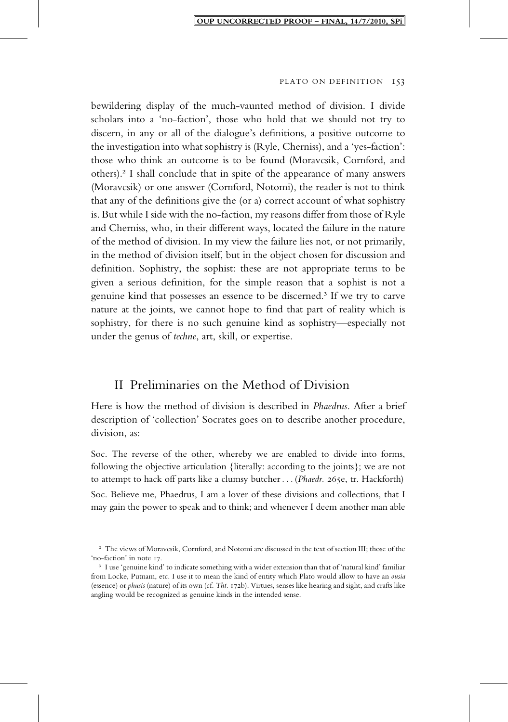bewildering display of the much-vaunted method of division. I divide scholars into a 'no-faction', those who hold that we should not try to discern, in any or all of the dialogue's definitions, a positive outcome to the investigation into what sophistry is (Ryle, Cherniss), and a 'yes-faction': those who think an outcome is to be found (Moravcsik, Cornford, and others).2 I shall conclude that in spite of the appearance of many answers (Moravcsik) or one answer (Cornford, Notomi), the reader is not to think that any of the definitions give the (or a) correct account of what sophistry is. But while I side with the no-faction, my reasons differ from those of Ryle and Cherniss, who, in their different ways, located the failure in the nature of the method of division. In my view the failure lies not, or not primarily, in the method of division itself, but in the object chosen for discussion and definition. Sophistry, the sophist: these are not appropriate terms to be given a serious definition, for the simple reason that a sophist is not a genuine kind that possesses an essence to be discerned.3 If we try to carve nature at the joints, we cannot hope to find that part of reality which is sophistry, for there is no such genuine kind as sophistry—especially not under the genus of techne, art, skill, or expertise.

### II Preliminaries on the Method of Division

Here is how the method of division is described in Phaedrus. After a brief description of 'collection' Socrates goes on to describe another procedure, division, as:

Soc. The reverse of the other, whereby we are enabled to divide into forms, following the objective articulation {literally: according to the joints}; we are not to attempt to hack off parts like a clumsy butcher ... (*Phaedr.* 265e, tr. Hackforth)

Soc. Believe me, Phaedrus, I am a lover of these divisions and collections, that I may gain the power to speak and to think; and whenever I deem another man able

<sup>&</sup>lt;sup>2</sup> The views of Moravcsik, Cornford, and Notomi are discussed in the text of section III; those of the 'no-faction' in note 17.

<sup>3</sup> I use 'genuine kind' to indicate something with a wider extension than that of 'natural kind' familiar from Locke, Putnam, etc. I use it to mean the kind of entity which Plato would allow to have an ousia (essence) or phusis (nature) of its own (cf. Tht. 172b). Virtues, senses like hearing and sight, and crafts like angling would be recognized as genuine kinds in the intended sense.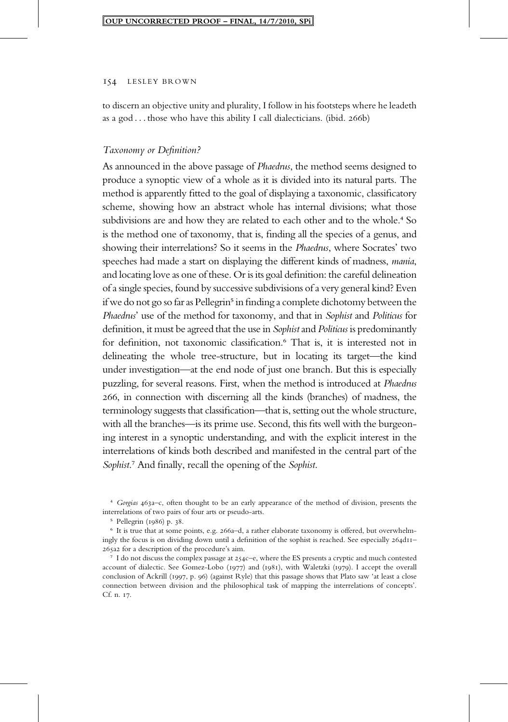to discern an objective unity and plurality, I follow in his footsteps where he leadeth as a god ... those who have this ability I call dialecticians. (ibid. 266b)

#### Taxonomy or Definition?

As announced in the above passage of Phaedrus, the method seems designed to produce a synoptic view of a whole as it is divided into its natural parts. The method is apparently fitted to the goal of displaying a taxonomic, classificatory scheme, showing how an abstract whole has internal divisions; what those subdivisions are and how they are related to each other and to the whole.4 So is the method one of taxonomy, that is, finding all the species of a genus, and showing their interrelations? So it seems in the Phaedrus, where Socrates' two speeches had made a start on displaying the different kinds of madness, mania, and locating love as one of these. Or is its goal definition: the careful delineation of a single species, found by successive subdivisions of a very general kind? Even if we do not go so far as Pellegrin<sup>5</sup> in finding a complete dichotomy between the Phaedrus' use of the method for taxonomy, and that in Sophist and Politicus for definition, it must be agreed that the use in Sophist and Politicus is predominantly for definition, not taxonomic classification.<sup>6</sup> That is, it is interested not in delineating the whole tree-structure, but in locating its target—the kind under investigation—at the end node of just one branch. But this is especially puzzling, for several reasons. First, when the method is introduced at Phaedrus 266, in connection with discerning all the kinds (branches) of madness, the terminology suggests that classification—that is, setting out the whole structure, with all the branches—is its prime use. Second, this fits well with the burgeoning interest in a synoptic understanding, and with the explicit interest in the interrelations of kinds both described and manifested in the central part of the Sophist.<sup>7</sup> And finally, recall the opening of the Sophist.

<sup>4</sup> Gorgias 463a–c, often thought to be an early appearance of the method of division, presents the interrelations of two pairs of four arts or pseudo-arts.

<sup>5</sup> Pellegrin (1986) p. 38.

<sup>6</sup> It is true that at some points, e.g. 266a–d, a rather elaborate taxonomy is offered, but overwhelmingly the focus is on dividing down until a definition of the sophist is reached. See especially 264d11– 265a2 for a description of the procedure's aim.

<sup>7</sup> I do not discuss the complex passage at 254c–e, where the ES presents a cryptic and much contested account of dialectic. See Gomez-Lobo (1977) and (1981), with Waletzki (1979). I accept the overall conclusion of Ackrill (1997, p. 96) (against Ryle) that this passage shows that Plato saw 'at least a close connection between division and the philosophical task of mapping the interrelations of concepts'. Cf. n. 17.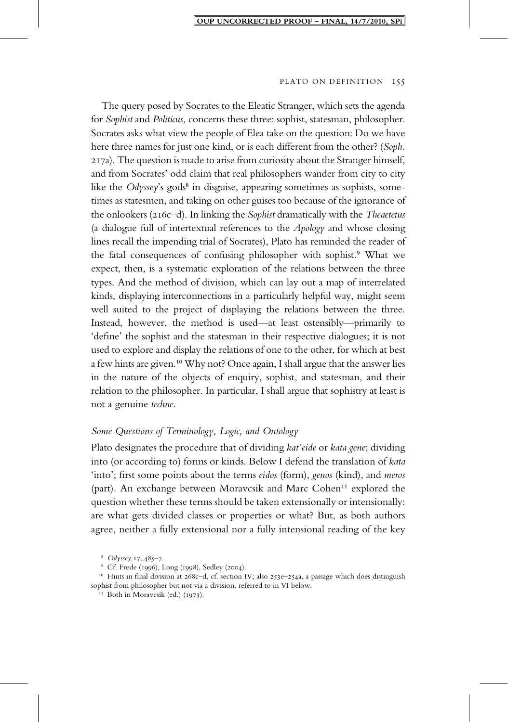The query posed by Socrates to the Eleatic Stranger, which sets the agenda for Sophist and Politicus, concerns these three: sophist, statesman, philosopher. Socrates asks what view the people of Elea take on the question: Do we have here three names for just one kind, or is each different from the other? (Soph. 217a). The question is made to arise from curiosity about the Stranger himself, and from Socrates' odd claim that real philosophers wander from city to city like the Odyssey's gods<sup>8</sup> in disguise, appearing sometimes as sophists, sometimes as statesmen, and taking on other guises too because of the ignorance of the onlookers (216c–d). In linking the Sophist dramatically with the Theaetetus (a dialogue full of intertextual references to the Apology and whose closing lines recall the impending trial of Socrates), Plato has reminded the reader of the fatal consequences of confusing philosopher with sophist.<sup>9</sup> What we expect, then, is a systematic exploration of the relations between the three types. And the method of division, which can lay out a map of interrelated kinds, displaying interconnections in a particularly helpful way, might seem well suited to the project of displaying the relations between the three. Instead, however, the method is used—at least ostensibly—primarily to 'define' the sophist and the statesman in their respective dialogues; it is not used to explore and display the relations of one to the other, for which at best a few hints are given.<sup>10</sup> Why not? Once again, I shall argue that the answer lies in the nature of the objects of enquiry, sophist, and statesman, and their relation to the philosopher. In particular, I shall argue that sophistry at least is not a genuine techne.

#### Some Questions of Terminology, Logic, and Ontology

Plato designates the procedure that of dividing kat'eide or kata gene; dividing into (or according to) forms or kinds. Below I defend the translation of kata 'into'; first some points about the terms eidos (form), genos (kind), and meros (part). An exchange between Moravcsik and Marc Cohen<sup>11</sup> explored the question whether these terms should be taken extensionally or intensionally: are what gets divided classes or properties or what? But, as both authors agree, neither a fully extensional nor a fully intensional reading of the key

<sup>8</sup> Odyssey 17, 485–7.

<sup>9</sup> Cf. Frede (1996), Long (1998), Sedley (2004).

<sup>10</sup> Hints in final division at 268c–d, cf. section IV; also 253e–254a, a passage which does distinguish sophist from philosopher but not via a division, referred to in VI below.

<sup>11</sup> Both in Moravcsik (ed.) (1973).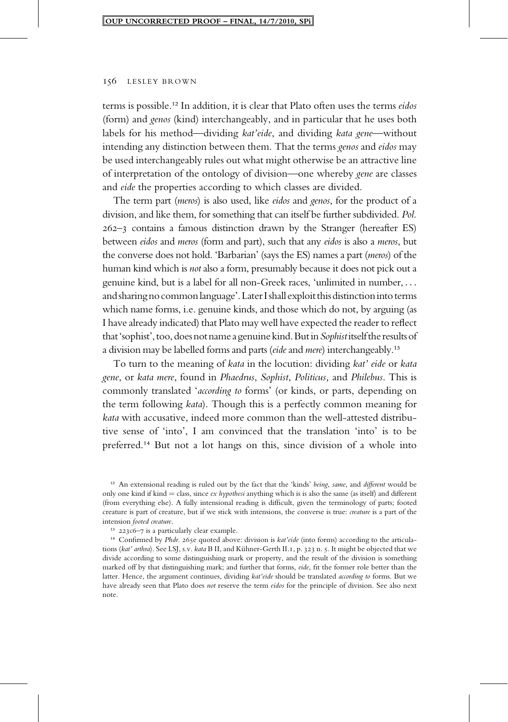terms is possible.12 In addition, it is clear that Plato often uses the terms eidos (form) and genos (kind) interchangeably, and in particular that he uses both labels for his method—dividing kat'eide, and dividing kata gene—without intending any distinction between them. That the terms genos and eidos may be used interchangeably rules out what might otherwise be an attractive line of interpretation of the ontology of division—one whereby gene are classes and eide the properties according to which classes are divided.

The term part (meros) is also used, like eidos and genos, for the product of a division, and like them, for something that can itself be further subdivided. Pol. 262–3 contains a famous distinction drawn by the Stranger (hereafter ES) between eidos and meros (form and part), such that any eidos is also a meros, but the converse does not hold. 'Barbarian' (says the ES) names a part (meros) of the human kind which is not also a form, presumably because it does not pick out a genuine kind, but is a label for all non-Greek races, 'unlimited in number, ... and sharing no common language'. Later I shall exploit this distinction into terms which name forms, i.e. genuine kinds, and those which do not, by arguing (as I have already indicated) that Plato may well have expected the reader to reflect that 'sophist', too, does not name a genuine kind. But in Sophist itself the results of a division may be labelled forms and parts (eide and mere) interchangeably.<sup>13</sup>

To turn to the meaning of kata in the locution: dividing kat' eide or kata gene, or kata mere, found in Phaedrus, Sophist, Politicus, and Philebus. This is commonly translated 'according to forms' (or kinds, or parts, depending on the term following kata). Though this is a perfectly common meaning for kata with accusative, indeed more common than the well-attested distributive sense of 'into', I am convinced that the translation 'into' is to be preferred.14 But not a lot hangs on this, since division of a whole into

<sup>&</sup>lt;sup>12</sup> An extensional reading is ruled out by the fact that the 'kinds' being, same, and different would be only one kind if kind = class, since  $ex$  hypothesi anything which is is also the same (as itself) and different (from everything else). A fully intensional reading is difficult, given the terminology of parts; footed creature is part of creature, but if we stick with intensions, the converse is true: creature is a part of the intension footed creature.

<sup>13</sup> 223c6–7 is a particularly clear example.

<sup>&</sup>lt;sup>14</sup> Confirmed by *Phdr.* 265e quoted above: division is kat'eide (into forms) according to the articulations (kat' arthra). See LSJ, s.v. kata B II, and Kühner-Gerth II.1, p. 323 n. 5. It might be objected that we divide according to some distinguishing mark or property, and the result of the division is something marked off by that distinguishing mark; and further that forms, eide, fit the former role better than the latter. Hence, the argument continues, dividing kat'eide should be translated according to forms. But we have already seen that Plato does not reserve the term eidos for the principle of division. See also next note.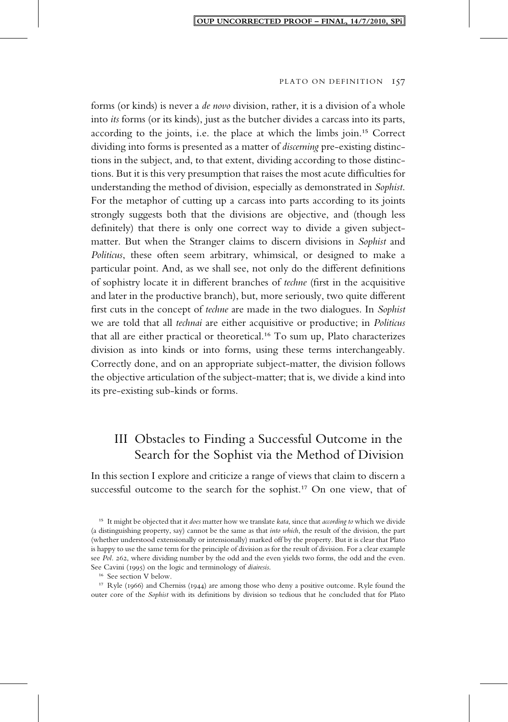forms (or kinds) is never a de novo division, rather, it is a division of a whole into its forms (or its kinds), just as the butcher divides a carcass into its parts, according to the joints, i.e. the place at which the limbs join.15 Correct dividing into forms is presented as a matter of discerning pre-existing distinctions in the subject, and, to that extent, dividing according to those distinctions. But it is this very presumption that raises the most acute difficulties for understanding the method of division, especially as demonstrated in Sophist. For the metaphor of cutting up a carcass into parts according to its joints strongly suggests both that the divisions are objective, and (though less definitely) that there is only one correct way to divide a given subjectmatter. But when the Stranger claims to discern divisions in Sophist and Politicus, these often seem arbitrary, whimsical, or designed to make a particular point. And, as we shall see, not only do the different definitions of sophistry locate it in different branches of techne (first in the acquisitive and later in the productive branch), but, more seriously, two quite different first cuts in the concept of techne are made in the two dialogues. In Sophist we are told that all technai are either acquisitive or productive; in Politicus that all are either practical or theoretical.16 To sum up, Plato characterizes division as into kinds or into forms, using these terms interchangeably. Correctly done, and on an appropriate subject-matter, the division follows the objective articulation of the subject-matter; that is, we divide a kind into its pre-existing sub-kinds or forms.

### III Obstacles to Finding a Successful Outcome in the Search for the Sophist via the Method of Division

In this section I explore and criticize a range of views that claim to discern a successful outcome to the search for the sophist.<sup>17</sup> On one view, that of

<sup>&</sup>lt;sup>15</sup> It might be objected that it *does* matter how we translate kata, since that according to which we divide (a distinguishing property, say) cannot be the same as that into which, the result of the division, the part (whether understood extensionally or intensionally) marked off by the property. But it is clear that Plato is happy to use the same term for the principle of division as for the result of division. For a clear example see Pol. 262, where dividing number by the odd and the even yields two forms, the odd and the even. See Cavini (1995) on the logic and terminology of *diairesis*.

<sup>16</sup> See section V below.

<sup>17</sup> Ryle (1966) and Cherniss (1944) are among those who deny a positive outcome. Ryle found the outer core of the Sophist with its definitions by division so tedious that he concluded that for Plato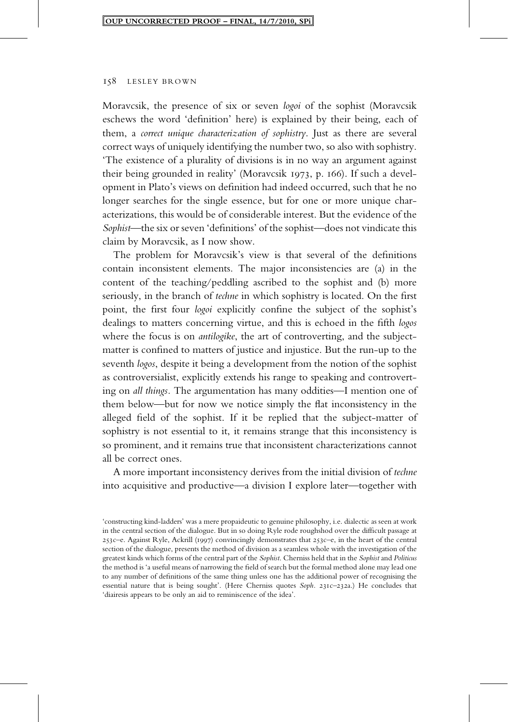Moravcsik, the presence of six or seven logoi of the sophist (Moravcsik eschews the word 'definition' here) is explained by their being, each of them, a correct unique characterization of sophistry. Just as there are several correct ways of uniquely identifying the number two, so also with sophistry. 'The existence of a plurality of divisions is in no way an argument against their being grounded in reality' (Moravcsik 1973, p. 166). If such a development in Plato's views on definition had indeed occurred, such that he no longer searches for the single essence, but for one or more unique characterizations, this would be of considerable interest. But the evidence of the Sophist—the six or seven 'definitions' of the sophist—does not vindicate this claim by Moravcsik, as I now show.

The problem for Moravcsik's view is that several of the definitions contain inconsistent elements. The major inconsistencies are (a) in the content of the teaching/peddling ascribed to the sophist and (b) more seriously, in the branch of techne in which sophistry is located. On the first point, the first four logoi explicitly confine the subject of the sophist's dealings to matters concerning virtue, and this is echoed in the fifth logos where the focus is on *antilogike*, the art of controverting, and the subjectmatter is confined to matters of justice and injustice. But the run-up to the seventh logos, despite it being a development from the notion of the sophist as controversialist, explicitly extends his range to speaking and controverting on all things. The argumentation has many oddities—I mention one of them below—but for now we notice simply the flat inconsistency in the alleged field of the sophist. If it be replied that the subject-matter of sophistry is not essential to it, it remains strange that this inconsistency is so prominent, and it remains true that inconsistent characterizations cannot all be correct ones.

A more important inconsistency derives from the initial division of techne into acquisitive and productive—a division I explore later—together with

<sup>&#</sup>x27;constructing kind-ladders' was a mere propaideutic to genuine philosophy, i.e. dialectic as seen at work in the central section of the dialogue. But in so doing Ryle rode roughshod over the difficult passage at 253c–e. Against Ryle, Ackrill (1997) convincingly demonstrates that 253c–e, in the heart of the central section of the dialogue, presents the method of division as a seamless whole with the investigation of the greatest kinds which forms of the central part of the Sophist. Cherniss held that in the Sophist and Politicus the method is 'a useful means of narrowing the field of search but the formal method alone may lead one to any number of definitions of the same thing unless one has the additional power of recognising the essential nature that is being sought'. (Here Cherniss quotes Soph. 231c–232a.) He concludes that 'diairesis appears to be only an aid to reminiscence of the idea'.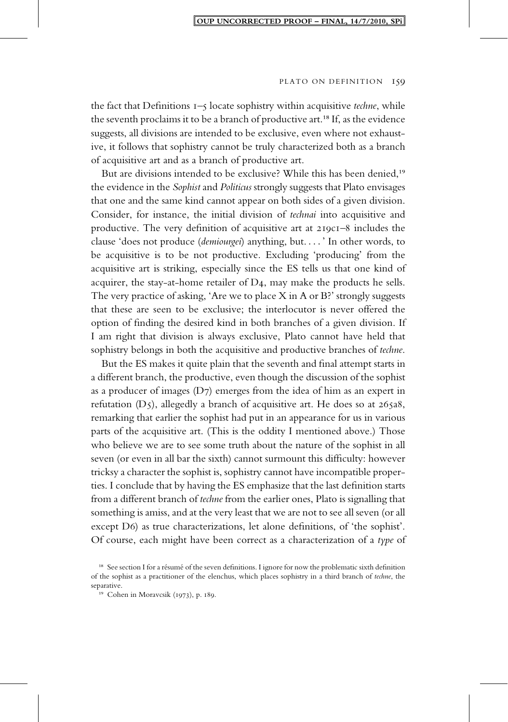the fact that Definitions  $I - 5$  locate sophistry within acquisitive *techne*, while the seventh proclaims it to be a branch of productive art.18 If, as the evidence suggests, all divisions are intended to be exclusive, even where not exhaustive, it follows that sophistry cannot be truly characterized both as a branch of acquisitive art and as a branch of productive art.

But are divisions intended to be exclusive? While this has been denied,<sup>19</sup> the evidence in the Sophist and Politicus strongly suggests that Plato envisages that one and the same kind cannot appear on both sides of a given division. Consider, for instance, the initial division of technai into acquisitive and productive. The very definition of acquisitive art at 219c1–8 includes the clause 'does not produce (demiourgei) anything, but. ... ' In other words, to be acquisitive is to be not productive. Excluding 'producing' from the acquisitive art is striking, especially since the ES tells us that one kind of acquirer, the stay-at-home retailer of D4, may make the products he sells. The very practice of asking, 'Are we to place X in A or B?' strongly suggests that these are seen to be exclusive; the interlocutor is never offered the option of finding the desired kind in both branches of a given division. If I am right that division is always exclusive, Plato cannot have held that sophistry belongs in both the acquisitive and productive branches of techne.

But the ES makes it quite plain that the seventh and final attempt starts in a different branch, the productive, even though the discussion of the sophist as a producer of images (D7) emerges from the idea of him as an expert in refutation (D5), allegedly a branch of acquisitive art. He does so at 265a8, remarking that earlier the sophist had put in an appearance for us in various parts of the acquisitive art. (This is the oddity I mentioned above.) Those who believe we are to see some truth about the nature of the sophist in all seven (or even in all bar the sixth) cannot surmount this difficulty: however tricksy a character the sophist is, sophistry cannot have incompatible properties. I conclude that by having the ES emphasize that the last definition starts from a different branch of techne from the earlier ones, Plato is signalling that something is amiss, and at the very least that we are not to see all seven (or all except D6) as true characterizations, let alone definitions, of 'the sophist'. Of course, each might have been correct as a characterization of a type of

<sup>&</sup>lt;sup>18</sup> See section I for a résumé of the seven definitions. I ignore for now the problematic sixth definition of the sophist as a practitioner of the elenchus, which places sophistry in a third branch of techne, the separative.

<sup>19</sup> Cohen in Moravcsik (1973), p. 189.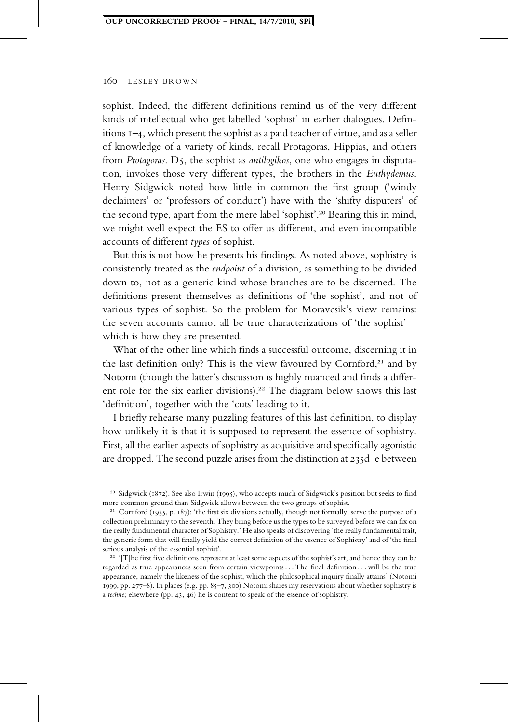sophist. Indeed, the different definitions remind us of the very different kinds of intellectual who get labelled 'sophist' in earlier dialogues. Definitions 1–4, which present the sophist as a paid teacher of virtue, and as a seller of knowledge of a variety of kinds, recall Protagoras, Hippias, and others from Protagoras. D5, the sophist as antilogikos, one who engages in disputation, invokes those very different types, the brothers in the Euthydemus. Henry Sidgwick noted how little in common the first group ('windy declaimers' or 'professors of conduct') have with the 'shifty disputers' of the second type, apart from the mere label 'sophist'.20 Bearing this in mind, we might well expect the ES to offer us different, and even incompatible accounts of different types of sophist.

But this is not how he presents his findings. As noted above, sophistry is consistently treated as the endpoint of a division, as something to be divided down to, not as a generic kind whose branches are to be discerned. The definitions present themselves as definitions of 'the sophist', and not of various types of sophist. So the problem for Moravcsik's view remains: the seven accounts cannot all be true characterizations of 'the sophist' which is how they are presented.

What of the other line which finds a successful outcome, discerning it in the last definition only? This is the view favoured by Cornford,<sup>21</sup> and by Notomi (though the latter's discussion is highly nuanced and finds a different role for the six earlier divisions).<sup>22</sup> The diagram below shows this last 'definition', together with the 'cuts' leading to it.

I briefly rehearse many puzzling features of this last definition, to display how unlikely it is that it is supposed to represent the essence of sophistry. First, all the earlier aspects of sophistry as acquisitive and specifically agonistic are dropped. The second puzzle arises from the distinction at 235d–e between

<sup>20</sup> Sidgwick (1872). See also Irwin (1995), who accepts much of Sidgwick's position but seeks to find more common ground than Sidgwick allows between the two groups of sophist.

<sup>21</sup> Cornford (1935, p. 187): 'the first six divisions actually, though not formally, serve the purpose of a collection preliminary to the seventh. They bring before us the types to be surveyed before we can fix on the really fundamental character of Sophistry.' He also speaks of discovering 'the really fundamental trait, the generic form that will finally yield the correct definition of the essence of Sophistry' and of 'the final serious analysis of the essential sophist'.

<sup>&</sup>lt;sup>22</sup> '[T]he first five definitions represent at least some aspects of the sophist's art, and hence they can be regarded as true appearances seen from certain viewpoints ... The final definition ... will be the true appearance, namely the likeness of the sophist, which the philosophical inquiry finally attains' (Notomi 1999, pp. 277–8). In places (e.g. pp. 85–7, 300) Notomi shares my reservations about whether sophistry is a techne; elsewhere (pp. 43, 46) he is content to speak of the essence of sophistry.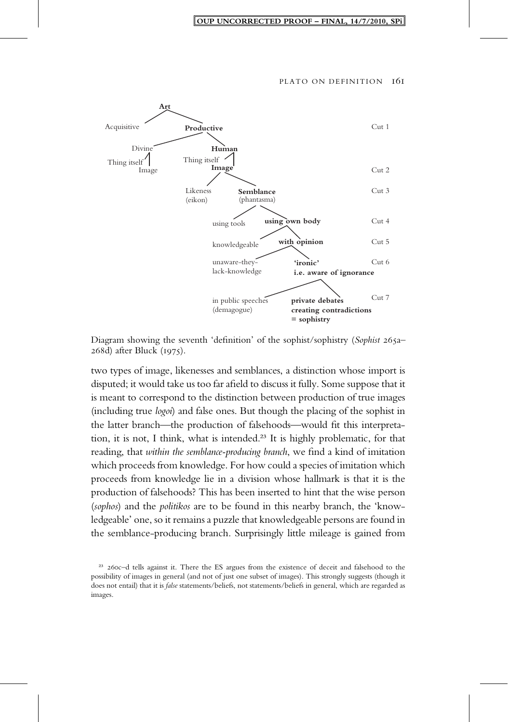#### OUP UNCORRECTED PROOF – FINAL, 14/7/2010, SPi

PLATO ON DEFINITION 161



Diagram showing the seventh 'definition' of the sophist/sophistry (Sophist 265a– 268d) after Bluck (1975).

two types of image, likenesses and semblances, a distinction whose import is disputed; it would take us too far afield to discuss it fully. Some suppose that it is meant to correspond to the distinction between production of true images (including true logoi) and false ones. But though the placing of the sophist in the latter branch—the production of falsehoods—would fit this interpretation, it is not, I think, what is intended.<sup>23</sup> It is highly problematic, for that reading, that within the semblance-producing branch, we find a kind of imitation which proceeds from knowledge. For how could a species of imitation which proceeds from knowledge lie in a division whose hallmark is that it is the production of falsehoods? This has been inserted to hint that the wise person (sophos) and the politikos are to be found in this nearby branch, the 'knowledgeable' one, so it remains a puzzle that knowledgeable persons are found in the semblance-producing branch. Surprisingly little mileage is gained from

<sup>23</sup> 260c–d tells against it. There the ES argues from the existence of deceit and falsehood to the possibility of images in general (and not of just one subset of images). This strongly suggests (though it does not entail) that it is false statements/beliefs, not statements/beliefs in general, which are regarded as images.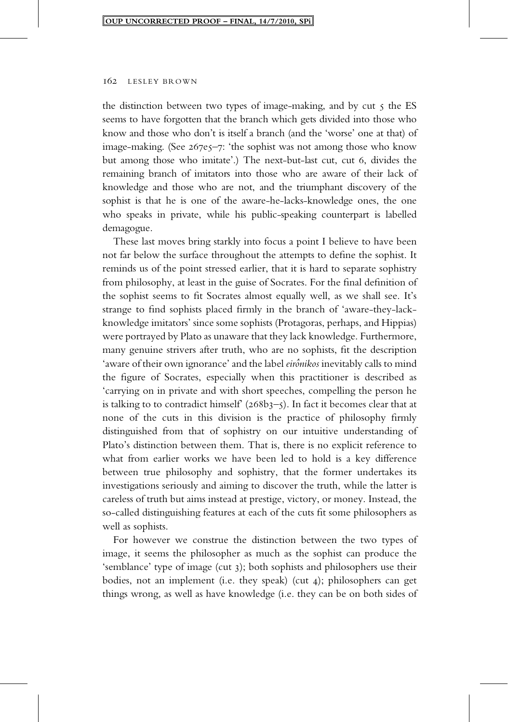the distinction between two types of image-making, and by cut  $\zeta$  the ES seems to have forgotten that the branch which gets divided into those who know and those who don't is itself a branch (and the 'worse' one at that) of image-making. (See 267e5–7: 'the sophist was not among those who know but among those who imitate'.) The next-but-last cut, cut 6, divides the remaining branch of imitators into those who are aware of their lack of knowledge and those who are not, and the triumphant discovery of the sophist is that he is one of the aware-he-lacks-knowledge ones, the one who speaks in private, while his public-speaking counterpart is labelled demagogue.

These last moves bring starkly into focus a point I believe to have been not far below the surface throughout the attempts to define the sophist. It reminds us of the point stressed earlier, that it is hard to separate sophistry from philosophy, at least in the guise of Socrates. For the final definition of the sophist seems to fit Socrates almost equally well, as we shall see. It's strange to find sophists placed firmly in the branch of 'aware-they-lackknowledge imitators' since some sophists (Protagoras, perhaps, and Hippias) were portrayed by Plato as unaware that they lack knowledge. Furthermore, many genuine strivers after truth, who are no sophists, fit the description 'aware of their own ignorance' and the label eirônikos inevitably calls to mind the figure of Socrates, especially when this practitioner is described as 'carrying on in private and with short speeches, compelling the person he is talking to to contradict himself'  $(268b3-5)$ . In fact it becomes clear that at none of the cuts in this division is the practice of philosophy firmly distinguished from that of sophistry on our intuitive understanding of Plato's distinction between them. That is, there is no explicit reference to what from earlier works we have been led to hold is a key difference between true philosophy and sophistry, that the former undertakes its investigations seriously and aiming to discover the truth, while the latter is careless of truth but aims instead at prestige, victory, or money. Instead, the so-called distinguishing features at each of the cuts fit some philosophers as well as sophists.

For however we construe the distinction between the two types of image, it seems the philosopher as much as the sophist can produce the 'semblance' type of image (cut 3); both sophists and philosophers use their bodies, not an implement (i.e. they speak) (cut 4); philosophers can get things wrong, as well as have knowledge (i.e. they can be on both sides of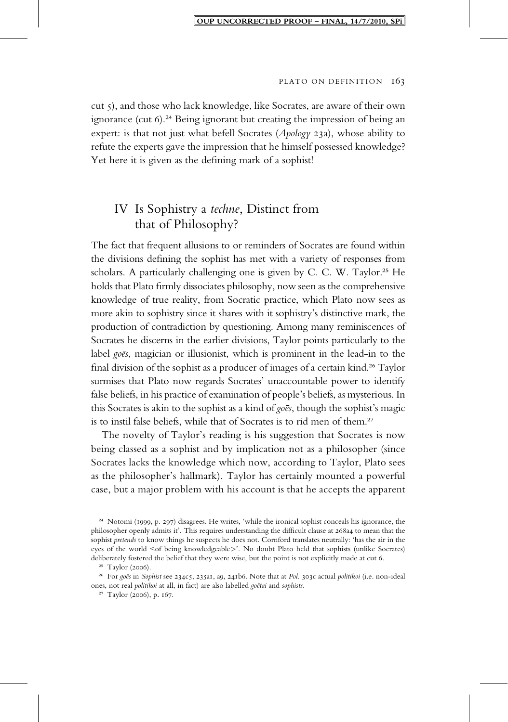cut 5), and those who lack knowledge, like Socrates, are aware of their own ignorance (cut 6).24 Being ignorant but creating the impression of being an expert: is that not just what befell Socrates (Apology 23a), whose ability to refute the experts gave the impression that he himself possessed knowledge? Yet here it is given as the defining mark of a sophist!

### IV Is Sophistry a techne, Distinct from that of Philosophy?

The fact that frequent allusions to or reminders of Socrates are found within the divisions defining the sophist has met with a variety of responses from scholars. A particularly challenging one is given by C. C. W. Taylor.<sup>25</sup> He holds that Plato firmly dissociates philosophy, now seen as the comprehensive knowledge of true reality, from Socratic practice, which Plato now sees as more akin to sophistry since it shares with it sophistry's distinctive mark, the production of contradiction by questioning. Among many reminiscences of Socrates he discerns in the earlier divisions, Taylor points particularly to the label goes, magician or illusionist, which is prominent in the lead-in to the final division of the sophist as a producer of images of a certain kind.<sup>26</sup> Taylor surmises that Plato now regards Socrates' unaccountable power to identify false beliefs, in his practice of examination of people's beliefs, as mysterious. In this Socrates is akin to the sophist as a kind of goes, though the sophist's magic is to instil false beliefs, while that of Socrates is to rid men of them.<sup>27</sup>

The novelty of Taylor's reading is his suggestion that Socrates is now being classed as a sophist and by implication not as a philosopher (since Socrates lacks the knowledge which now, according to Taylor, Plato sees as the philosopher's hallmark). Taylor has certainly mounted a powerful case, but a major problem with his account is that he accepts the apparent

<sup>24</sup> Notomi (1999, p. 297) disagrees. He writes, 'while the ironical sophist conceals his ignorance, the philosopher openly admits it'. This requires understanding the difficult clause at 268a4 to mean that the sophist pretends to know things he suspects he does not. Cornford translates neutrally: 'has the air in the eyes of the world <of being knowledgeable>'. No doubt Plato held that sophists (unlike Socrates) deliberately fostered the belief that they were wise, but the point is not explicitly made at cut 6.

<sup>25</sup> Taylor (2006).

<sup>&</sup>lt;sup>26</sup> For goes in Sophist see 234c5, 235a1, a9, 241b6. Note that at Pol. 303c actual politikoi (i.e. non-ideal ones, not real politikoi at all, in fact) are also labelled goetai and sophists.

<sup>27</sup> Taylor (2006), p. 167.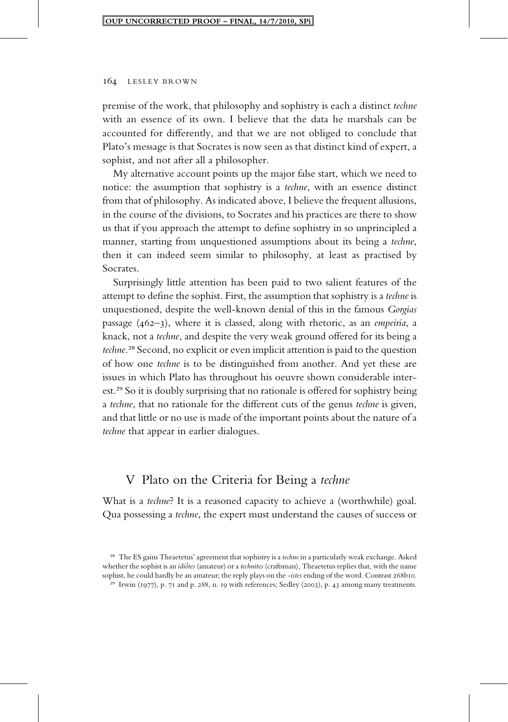premise of the work, that philosophy and sophistry is each a distinct techne with an essence of its own. I believe that the data he marshals can be accounted for differently, and that we are not obliged to conclude that Plato's message is that Socrates is now seen as that distinct kind of expert, a sophist, and not after all a philosopher.

My alternative account points up the major false start, which we need to notice: the assumption that sophistry is a techne, with an essence distinct from that of philosophy. As indicated above, I believe the frequent allusions, in the course of the divisions, to Socrates and his practices are there to show us that if you approach the attempt to define sophistry in so unprincipled a manner, starting from unquestioned assumptions about its being a *techne*, then it can indeed seem similar to philosophy, at least as practised by Socrates.

Surprisingly little attention has been paid to two salient features of the attempt to define the sophist. First, the assumption that sophistry is a techne is unquestioned, despite the well-known denial of this in the famous Gorgias passage (462–3), where it is classed, along with rhetoric, as an empeiria, a knack, not a techne, and despite the very weak ground offered for its being a techne.28 Second, no explicit or even implicit attention is paid to the question of how one techne is to be distinguished from another. And yet these are issues in which Plato has throughout his oeuvre shown considerable interest.29 So it is doubly surprising that no rationale is offered for sophistry being a techne, that no rationale for the different cuts of the genus techne is given, and that little or no use is made of the important points about the nature of a techne that appear in earlier dialogues.

### V Plato on the Criteria for Being a techne

What is a *techne*? It is a reasoned capacity to achieve a (worthwhile) goal. Qua possessing a techne, the expert must understand the causes of success or

<sup>&</sup>lt;sup>28</sup> The ES gains Theaetetus' agreement that sophistry is a techne in a particularly weak exchange. Asked whether the sophist is an *idiôtes* (amateur) or a *technites* (craftsman), Theaetetus replies that, with the name sophist, he could hardly be an amateur; the reply plays on the -istes ending of the word. Contrast 268b10.

 $29$  Irwin (1977), p. 71 and p. 288, n. 19 with references; Sedley (2003), p. 43 among many treatments.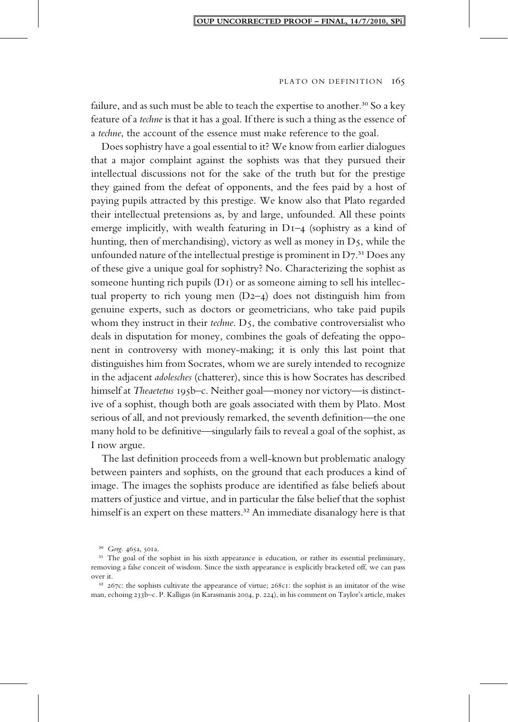failure, and as such must be able to teach the expertise to another.<sup>30</sup> So a key feature of a techne is that it has a goal. If there is such a thing as the essence of a techne, the account of the essence must make reference to the goal.

Does sophistry have a goal essential to it? We know from earlier dialogues that a major complaint against the sophists was that they pursued their intellectual discussions not for the sake of the truth but for the prestige they gained from the defeat of opponents, and the fees paid by a host of paying pupils attracted by this prestige. We know also that Plato regarded their intellectual pretensions as, by and large, unfounded. All these points emerge implicitly, with wealth featuring in  $D1-4$  (sophistry as a kind of hunting, then of merchandising), victory as well as money in  $D_5$ , while the unfounded nature of the intellectual prestige is prominent in  $D7<sup>31</sup>$  Does any of these give a unique goal for sophistry? No. Characterizing the sophist as someone hunting rich pupils  $(D_1)$  or as someone aiming to sell his intellectual property to rich young men  $(Dz-4)$  does not distinguish him from genuine experts, such as doctors or geometricians, who take paid pupils whom they instruct in their techne.  $D_5$ , the combative controversialist who deals in disputation for money, combines the goals of defeating the opponent in controversy with money-making; it is only this last point that distinguishes him from Socrates, whom we are surely intended to recognize in the adjacent adolesches (chatterer), since this is how Socrates has described himself at *Theaetetus* 195b–c. Neither goal—money nor victory—is distinctive of a sophist, though both are goals associated with them by Plato. Most serious of all, and not previously remarked, the seventh definition—the one many hold to be definitive—singularly fails to reveal a goal of the sophist, as I now argue.

The last definition proceeds from a well-known but problematic analogy between painters and sophists, on the ground that each produces a kind of image. The images the sophists produce are identified as false beliefs about matters of justice and virtue, and in particular the false belief that the sophist himself is an expert on these matters.<sup>32</sup> An immediate disanalogy here is that

<sup>30</sup> Gorg. 465a, 501a.

<sup>&</sup>lt;sup>31</sup> The goal of the sophist in his sixth appearance is education, or rather its essential preliminary, removing a false conceit of wisdom. Since the sixth appearance is explicitly bracketed off, we can pass over it.

<sup>32</sup> 267c: the sophists cultivate the appearance of virtue; 268c1: the sophist is an imitator of the wise man, echoing 233b–c. P. Kalligas (in Karasmanis 2004, p. 224), in his comment on Taylor's article, makes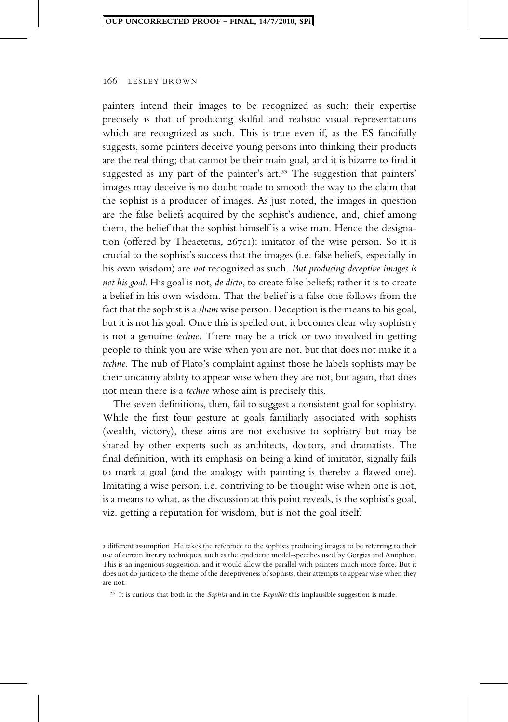painters intend their images to be recognized as such: their expertise precisely is that of producing skilful and realistic visual representations which are recognized as such. This is true even if, as the ES fancifully suggests, some painters deceive young persons into thinking their products are the real thing; that cannot be their main goal, and it is bizarre to find it suggested as any part of the painter's art.<sup>33</sup> The suggestion that painters' images may deceive is no doubt made to smooth the way to the claim that the sophist is a producer of images. As just noted, the images in question are the false beliefs acquired by the sophist's audience, and, chief among them, the belief that the sophist himself is a wise man. Hence the designation (offered by Theaetetus, 267c1): imitator of the wise person. So it is crucial to the sophist's success that the images (i.e. false beliefs, especially in his own wisdom) are not recognized as such. But producing deceptive images is not his goal. His goal is not, de dicto, to create false beliefs; rather it is to create a belief in his own wisdom. That the belief is a false one follows from the fact that the sophist is a *sham* wise person. Deception is the means to his goal, but it is not his goal. Once this is spelled out, it becomes clear why sophistry is not a genuine techne. There may be a trick or two involved in getting people to think you are wise when you are not, but that does not make it a techne. The nub of Plato's complaint against those he labels sophists may be their uncanny ability to appear wise when they are not, but again, that does not mean there is a techne whose aim is precisely this.

The seven definitions, then, fail to suggest a consistent goal for sophistry. While the first four gesture at goals familiarly associated with sophists (wealth, victory), these aims are not exclusive to sophistry but may be shared by other experts such as architects, doctors, and dramatists. The final definition, with its emphasis on being a kind of imitator, signally fails to mark a goal (and the analogy with painting is thereby a flawed one). Imitating a wise person, i.e. contriving to be thought wise when one is not, is a means to what, as the discussion at this point reveals, is the sophist's goal, viz. getting a reputation for wisdom, but is not the goal itself.

a different assumption. He takes the reference to the sophists producing images to be referring to their use of certain literary techniques, such as the epideictic model-speeches used by Gorgias and Antiphon. This is an ingenious suggestion, and it would allow the parallel with painters much more force. But it does not do justice to the theme of the deceptiveness of sophists, their attempts to appear wise when they are not.

<sup>&</sup>lt;sup>33</sup> It is curious that both in the Sophist and in the Republic this implausible suggestion is made.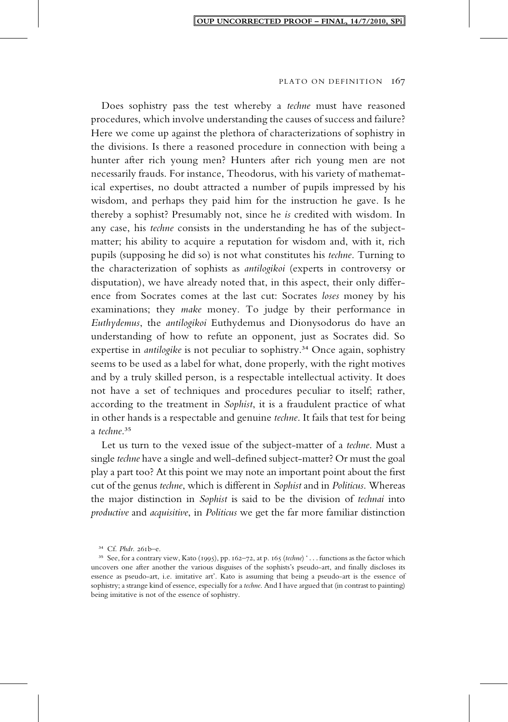Does sophistry pass the test whereby a techne must have reasoned procedures, which involve understanding the causes of success and failure? Here we come up against the plethora of characterizations of sophistry in the divisions. Is there a reasoned procedure in connection with being a hunter after rich young men? Hunters after rich young men are not necessarily frauds. For instance, Theodorus, with his variety of mathematical expertises, no doubt attracted a number of pupils impressed by his wisdom, and perhaps they paid him for the instruction he gave. Is he thereby a sophist? Presumably not, since he is credited with wisdom. In any case, his techne consists in the understanding he has of the subjectmatter; his ability to acquire a reputation for wisdom and, with it, rich pupils (supposing he did so) is not what constitutes his techne. Turning to the characterization of sophists as antilogikoi (experts in controversy or disputation), we have already noted that, in this aspect, their only difference from Socrates comes at the last cut: Socrates loses money by his examinations; they make money. To judge by their performance in Euthydemus, the antilogikoi Euthydemus and Dionysodorus do have an understanding of how to refute an opponent, just as Socrates did. So expertise in *antilogike* is not peculiar to sophistry.<sup>34</sup> Once again, sophistry seems to be used as a label for what, done properly, with the right motives and by a truly skilled person, is a respectable intellectual activity. It does not have a set of techniques and procedures peculiar to itself; rather, according to the treatment in Sophist, it is a fraudulent practice of what in other hands is a respectable and genuine techne. It fails that test for being a techne.35

Let us turn to the vexed issue of the subject-matter of a techne. Must a single techne have a single and well-defined subject-matter? Or must the goal play a part too? At this point we may note an important point about the first cut of the genus techne, which is different in Sophist and in Politicus. Whereas the major distinction in Sophist is said to be the division of technai into productive and acquisitive, in Politicus we get the far more familiar distinction

<sup>34</sup> Cf. Phdr. 261b–e.

<sup>&</sup>lt;sup>35</sup> See, for a contrary view, Kato (1995), pp. 162–72, at p. 165 (techne) '... functions as the factor which uncovers one after another the various disguises of the sophists's pseudo-art, and finally discloses its essence as pseudo-art, i.e. imitative art'. Kato is assuming that being a pseudo-art is the essence of sophistry; a strange kind of essence, especially for a techne. And I have argued that (in contrast to painting) being imitative is not of the essence of sophistry.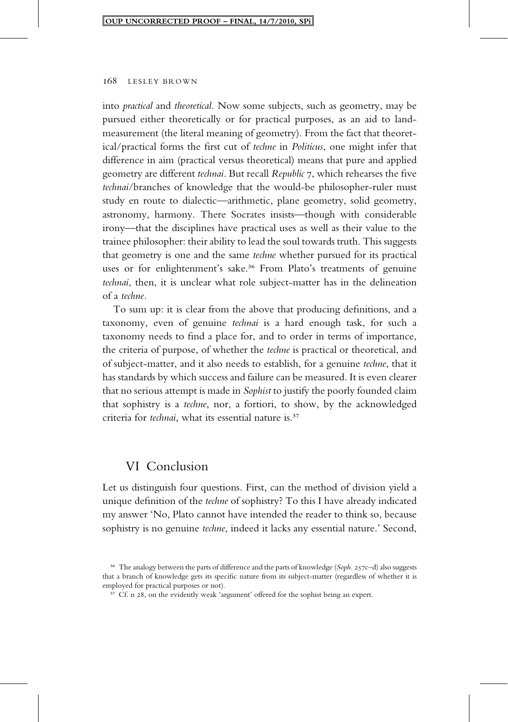into practical and theoretical. Now some subjects, such as geometry, may be pursued either theoretically or for practical purposes, as an aid to landmeasurement (the literal meaning of geometry). From the fact that theoretical/practical forms the first cut of techne in Politicus, one might infer that difference in aim (practical versus theoretical) means that pure and applied geometry are different technai. But recall Republic 7, which rehearses the five technai/branches of knowledge that the would-be philosopher-ruler must study en route to dialectic—arithmetic, plane geometry, solid geometry, astronomy, harmony. There Socrates insists—though with considerable irony—that the disciplines have practical uses as well as their value to the trainee philosopher: their ability to lead the soul towards truth. This suggests that geometry is one and the same techne whether pursued for its practical uses or for enlightenment's sake.<sup>36</sup> From Plato's treatments of genuine technai, then, it is unclear what role subject-matter has in the delineation of a techne.

To sum up: it is clear from the above that producing definitions, and a taxonomy, even of genuine technai is a hard enough task, for such a taxonomy needs to find a place for, and to order in terms of importance, the criteria of purpose, of whether the techne is practical or theoretical, and of subject-matter, and it also needs to establish, for a genuine techne, that it has standards by which success and failure can be measured. It is even clearer that no serious attempt is made in Sophist to justify the poorly founded claim that sophistry is a techne, nor, a fortiori, to show, by the acknowledged criteria for technai, what its essential nature is.37

### VI Conclusion

Let us distinguish four questions. First, can the method of division yield a unique definition of the techne of sophistry? To this I have already indicated my answer 'No, Plato cannot have intended the reader to think so, because sophistry is no genuine *techne*, indeed it lacks any essential nature.' Second,

<sup>&</sup>lt;sup>36</sup> The analogy between the parts of difference and the parts of knowledge (Soph. 257c–d) also suggests that a branch of knowledge gets its specific nature from its subject-matter (regardless of whether it is employed for practical purposes or not).

<sup>&</sup>lt;sup>37</sup> Cf. n 28, on the evidently weak 'argument' offered for the sophist being an expert.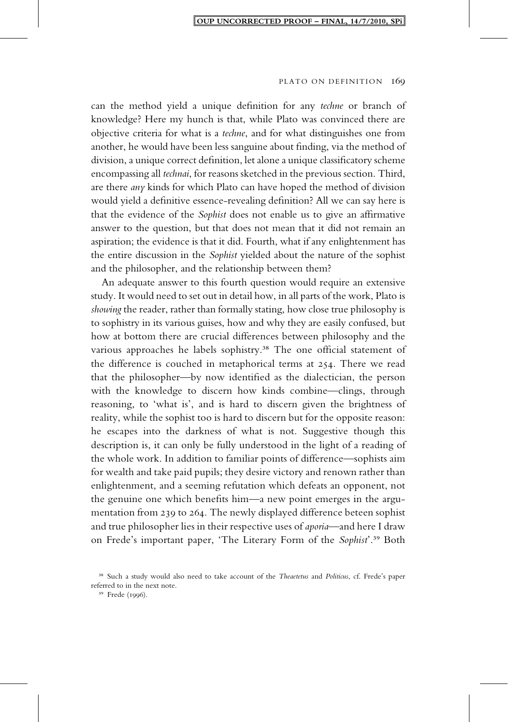can the method yield a unique definition for any techne or branch of knowledge? Here my hunch is that, while Plato was convinced there are objective criteria for what is a techne, and for what distinguishes one from another, he would have been less sanguine about finding, via the method of division, a unique correct definition, let alone a unique classificatory scheme encompassing all technai, for reasons sketched in the previous section. Third, are there *any* kinds for which Plato can have hoped the method of division would yield a definitive essence-revealing definition? All we can say here is that the evidence of the Sophist does not enable us to give an affirmative answer to the question, but that does not mean that it did not remain an aspiration; the evidence is that it did. Fourth, what if any enlightenment has the entire discussion in the Sophist yielded about the nature of the sophist and the philosopher, and the relationship between them?

An adequate answer to this fourth question would require an extensive study. It would need to set out in detail how, in all parts of the work, Plato is showing the reader, rather than formally stating, how close true philosophy is to sophistry in its various guises, how and why they are easily confused, but how at bottom there are crucial differences between philosophy and the various approaches he labels sophistry.<sup>38</sup> The one official statement of the difference is couched in metaphorical terms at 254. There we read that the philosopher—by now identified as the dialectician, the person with the knowledge to discern how kinds combine—clings, through reasoning, to 'what is', and is hard to discern given the brightness of reality, while the sophist too is hard to discern but for the opposite reason: he escapes into the darkness of what is not. Suggestive though this description is, it can only be fully understood in the light of a reading of the whole work. In addition to familiar points of difference—sophists aim for wealth and take paid pupils; they desire victory and renown rather than enlightenment, and a seeming refutation which defeats an opponent, not the genuine one which benefits him—a new point emerges in the argumentation from 239 to 264. The newly displayed difference beteen sophist and true philosopher lies in their respective uses of *aporia*—and here I draw on Frede's important paper, 'The Literary Form of the Sophist'.<sup>39</sup> Both

<sup>&</sup>lt;sup>38</sup> Such a study would also need to take account of the *Theaetetus* and *Politicus*, cf. Frede's paper referred to in the next note.

<sup>39</sup> Frede (1996).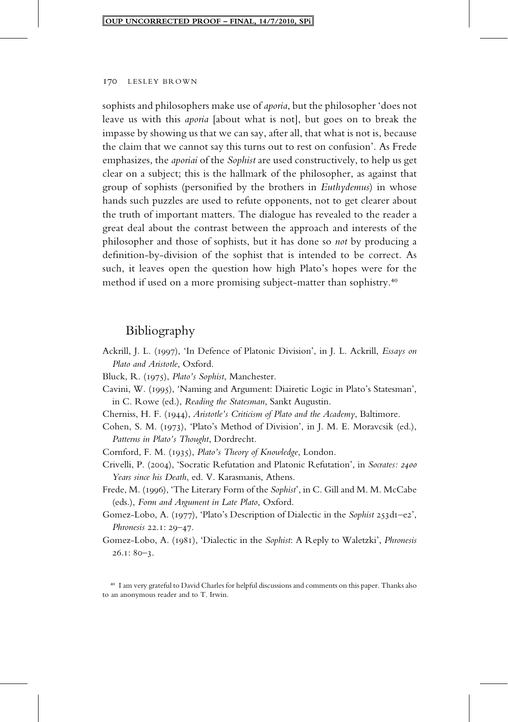sophists and philosophers make use of aporia, but the philosopher 'does not leave us with this aporia [about what is not], but goes on to break the impasse by showing us that we can say, after all, that what is not is, because the claim that we cannot say this turns out to rest on confusion'. As Frede emphasizes, the *aporiai* of the Sophist are used constructively, to help us get clear on a subject; this is the hallmark of the philosopher, as against that group of sophists (personified by the brothers in Euthydemus) in whose hands such puzzles are used to refute opponents, not to get clearer about the truth of important matters. The dialogue has revealed to the reader a great deal about the contrast between the approach and interests of the philosopher and those of sophists, but it has done so not by producing a definition-by-division of the sophist that is intended to be correct. As such, it leaves open the question how high Plato's hopes were for the method if used on a more promising subject-matter than sophistry.<sup>40</sup>

### Bibliography

- Ackrill, J. L. (1997), 'In Defence of Platonic Division', in J. L. Ackrill, Essays on Plato and Aristotle, Oxford.
- Bluck, R. (1975), Plato's Sophist, Manchester.
- Cavini, W. (1995), 'Naming and Argument: Diairetic Logic in Plato's Statesman', in C. Rowe (ed.), Reading the Statesman, Sankt Augustin.
- Cherniss, H. F. (1944), Aristotle's Criticism of Plato and the Academy, Baltimore.
- Cohen, S. M. (1973), 'Plato's Method of Division', in J. M. E. Moravcsik (ed.), Patterns in Plato's Thought, Dordrecht.
- Cornford, F. M. (1935), Plato's Theory of Knowledge, London.
- Crivelli, P. (2004), 'Socratic Refutation and Platonic Refutation', in Socrates: 2400 Years since his Death, ed. V. Karasmanis, Athens.
- Frede, M. (1996), 'The Literary Form of the Sophist', in C. Gill and M. M. McCabe (eds.), Form and Argument in Late Plato, Oxford.
- Gomez-Lobo, A. (1977), 'Plato's Description of Dialectic in the Sophist 253d1–e2', Phronesis 22.1: 29–47.
- Gomez-Lobo, A. (1981), 'Dialectic in the Sophist: A Reply to Waletzki', Phronesis  $26.1: 80 - 3.$

<sup>40</sup> I am very grateful to David Charles for helpful discussions and comments on this paper. Thanks also to an anonymous reader and to T. Irwin.